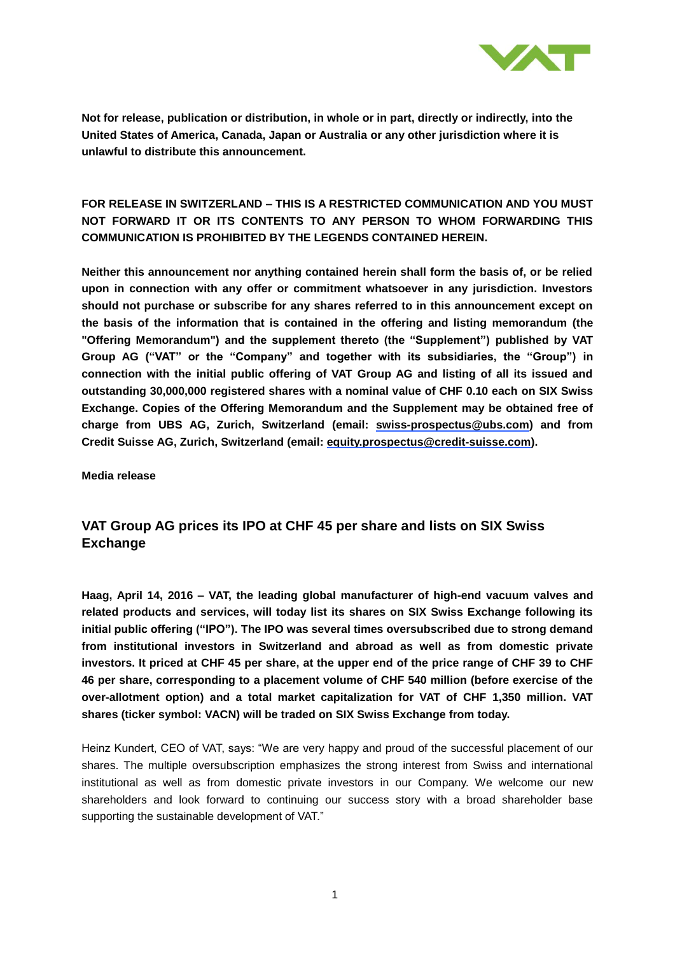

# **FOR RELEASE IN SWITZERLAND – THIS IS A RESTRICTED COMMUNICATION AND YOU MUST NOT FORWARD IT OR ITS CONTENTS TO ANY PERSON TO WHOM FORWARDING THIS COMMUNICATION IS PROHIBITED BY THE LEGENDS CONTAINED HEREIN.**

**Neither this announcement nor anything contained herein shall form the basis of, or be relied upon in connection with any offer or commitment whatsoever in any jurisdiction. Investors should not purchase or subscribe for any shares referred to in this announcement except on the basis of the information that is contained in the offering and listing memorandum (the "Offering Memorandum") and the supplement thereto (the "Supplement") published by VAT Group AG ("VAT" or the "Company" and together with its subsidiaries, the "Group") in connection with the initial public offering of VAT Group AG and listing of all its issued and outstanding 30,000,000 registered shares with a nominal value of CHF 0.10 each on SIX Swiss Exchange. Copies of the Offering Memorandum and the Supplement may be obtained free of charge from UBS AG, Zurich, Switzerland (email: [swiss-prospectus@ubs.com\)](mailto:swiss-prospectus@ubs.com) and from Credit Suisse AG, Zurich, Switzerland (email: [equity.prospectus@credit-suisse.com\)](mailto:equity.prospectus@credit-suisse.com).**

**Media release**

# **VAT Group AG prices its IPO at CHF 45 per share and lists on SIX Swiss Exchange**

**Haag, April 14, 2016 – VAT, the leading global manufacturer of high-end vacuum valves and related products and services, will today list its shares on SIX Swiss Exchange following its initial public offering ("IPO"). The IPO was several times oversubscribed due to strong demand from institutional investors in Switzerland and abroad as well as from domestic private investors. It priced at CHF 45 per share, at the upper end of the price range of CHF 39 to CHF 46 per share, corresponding to a placement volume of CHF 540 million (before exercise of the over-allotment option) and a total market capitalization for VAT of CHF 1,350 million. VAT shares (ticker symbol: VACN) will be traded on SIX Swiss Exchange from today.**

Heinz Kundert, CEO of VAT, says: "We are very happy and proud of the successful placement of our shares. The multiple oversubscription emphasizes the strong interest from Swiss and international institutional as well as from domestic private investors in our Company. We welcome our new shareholders and look forward to continuing our success story with a broad shareholder base supporting the sustainable development of VAT."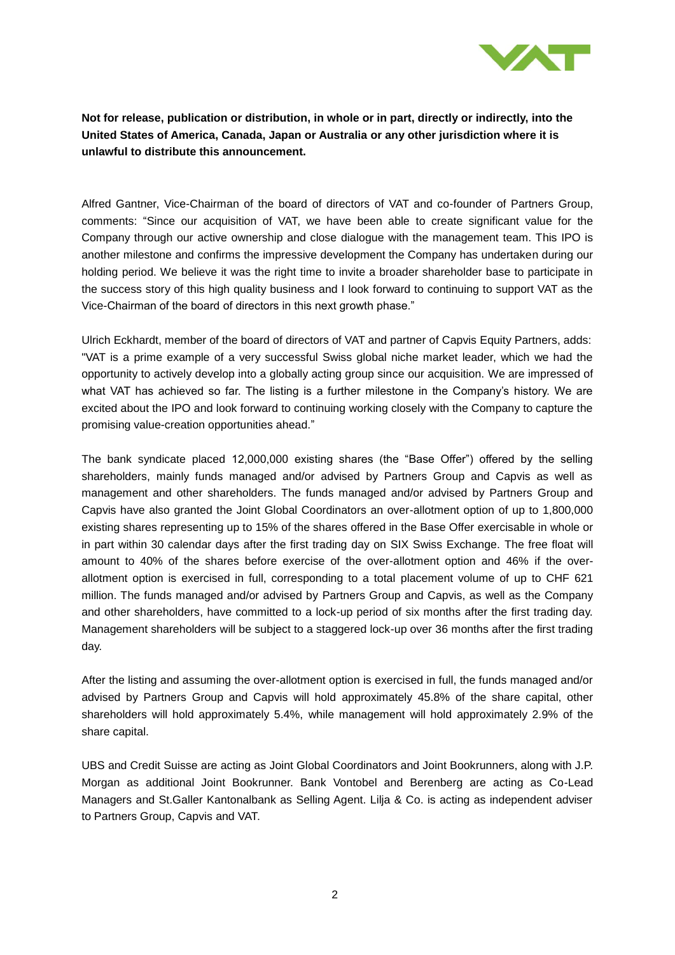

Alfred Gantner, Vice-Chairman of the board of directors of VAT and co-founder of Partners Group, comments: "Since our acquisition of VAT, we have been able to create significant value for the Company through our active ownership and close dialogue with the management team. This IPO is another milestone and confirms the impressive development the Company has undertaken during our holding period. We believe it was the right time to invite a broader shareholder base to participate in the success story of this high quality business and I look forward to continuing to support VAT as the Vice-Chairman of the board of directors in this next growth phase."

Ulrich Eckhardt, member of the board of directors of VAT and partner of Capvis Equity Partners, adds: "VAT is a prime example of a very successful Swiss global niche market leader, which we had the opportunity to actively develop into a globally acting group since our acquisition. We are impressed of what VAT has achieved so far. The listing is a further milestone in the Company's history. We are excited about the IPO and look forward to continuing working closely with the Company to capture the promising value-creation opportunities ahead."

The bank syndicate placed 12,000,000 existing shares (the "Base Offer") offered by the selling shareholders, mainly funds managed and/or advised by Partners Group and Capvis as well as management and other shareholders. The funds managed and/or advised by Partners Group and Capvis have also granted the Joint Global Coordinators an over-allotment option of up to 1,800,000 existing shares representing up to 15% of the shares offered in the Base Offer exercisable in whole or in part within 30 calendar days after the first trading day on SIX Swiss Exchange. The free float will amount to 40% of the shares before exercise of the over-allotment option and 46% if the overallotment option is exercised in full, corresponding to a total placement volume of up to CHF 621 million. The funds managed and/or advised by Partners Group and Capvis, as well as the Company and other shareholders, have committed to a lock-up period of six months after the first trading day. Management shareholders will be subject to a staggered lock-up over 36 months after the first trading day.

After the listing and assuming the over-allotment option is exercised in full, the funds managed and/or advised by Partners Group and Capvis will hold approximately 45.8% of the share capital, other shareholders will hold approximately 5.4%, while management will hold approximately 2.9% of the share capital.

UBS and Credit Suisse are acting as Joint Global Coordinators and Joint Bookrunners, along with J.P. Morgan as additional Joint Bookrunner. Bank Vontobel and Berenberg are acting as Co-Lead Managers and St.Galler Kantonalbank as Selling Agent. Lilja & Co. is acting as independent adviser to Partners Group, Capvis and VAT.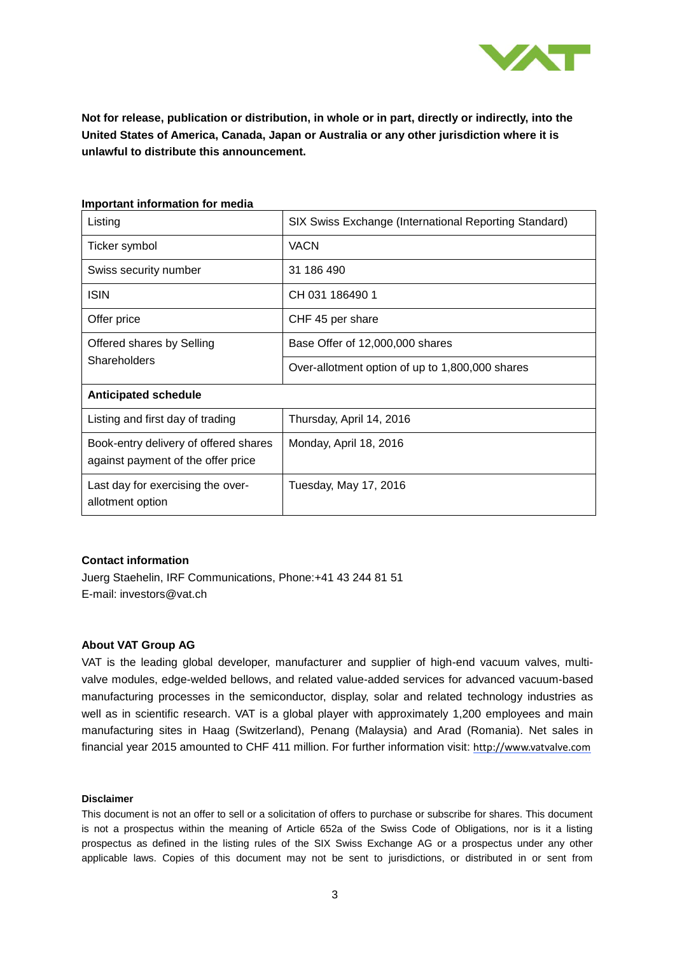

### **Important information for media**

| Listing                                                                     | SIX Swiss Exchange (International Reporting Standard) |
|-----------------------------------------------------------------------------|-------------------------------------------------------|
| Ticker symbol                                                               | <b>VACN</b>                                           |
| Swiss security number                                                       | 31 186 490                                            |
| <b>ISIN</b>                                                                 | CH 031 186490 1                                       |
| Offer price                                                                 | CHF 45 per share                                      |
| Offered shares by Selling<br>Shareholders                                   | Base Offer of 12,000,000 shares                       |
|                                                                             | Over-allotment option of up to 1,800,000 shares       |
| <b>Anticipated schedule</b>                                                 |                                                       |
| Listing and first day of trading                                            | Thursday, April 14, 2016                              |
| Book-entry delivery of offered shares<br>against payment of the offer price | Monday, April 18, 2016                                |
| Last day for exercising the over-<br>allotment option                       | Tuesday, May 17, 2016                                 |

## **Contact information**

Juerg Staehelin, IRF Communications, Phone:+41 43 244 81 51 E-mail: investors@vat.ch

## **About VAT Group AG**

VAT is the leading global developer, manufacturer and supplier of high-end vacuum valves, multivalve modules, edge-welded bellows, and related value-added services for advanced vacuum-based manufacturing processes in the semiconductor, display, solar and related technology industries as well as in scientific research. VAT is a global player with approximately 1,200 employees and main manufacturing sites in Haag (Switzerland), Penang (Malaysia) and Arad (Romania). Net sales in financial year 2015 amounted to CHF 411 million. For further information visit: [http://www.vatvalve.com](http://www.vatvalve.com/)

#### **Disclaimer**

This document is not an offer to sell or a solicitation of offers to purchase or subscribe for shares. This document is not a prospectus within the meaning of Article 652a of the Swiss Code of Obligations, nor is it a listing prospectus as defined in the listing rules of the SIX Swiss Exchange AG or a prospectus under any other applicable laws. Copies of this document may not be sent to jurisdictions, or distributed in or sent from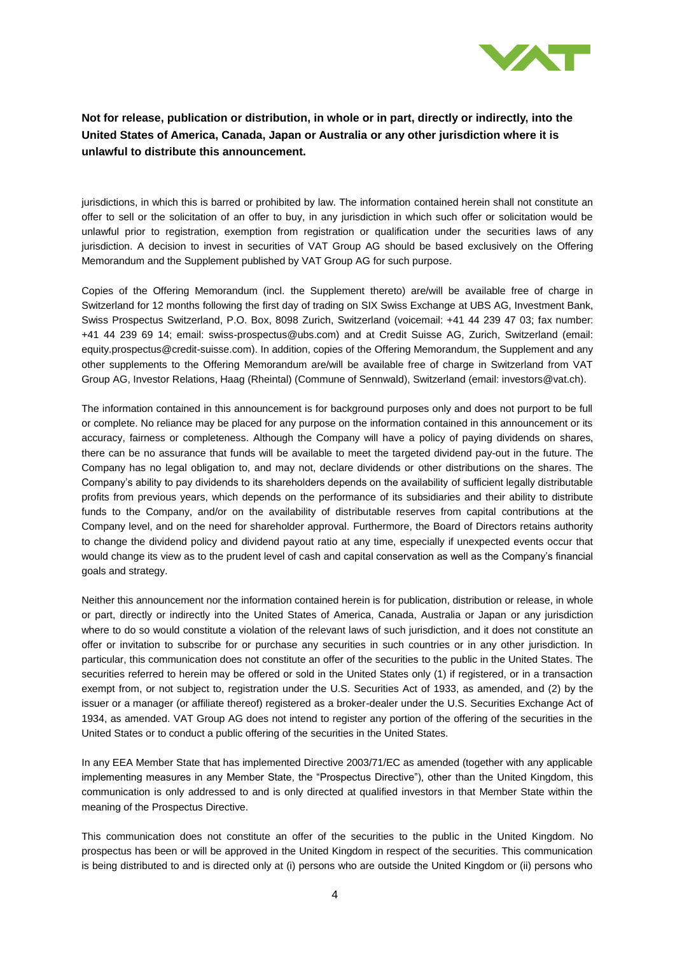

jurisdictions, in which this is barred or prohibited by law. The information contained herein shall not constitute an offer to sell or the solicitation of an offer to buy, in any jurisdiction in which such offer or solicitation would be unlawful prior to registration, exemption from registration or qualification under the securities laws of any jurisdiction. A decision to invest in securities of VAT Group AG should be based exclusively on the Offering Memorandum and the Supplement published by VAT Group AG for such purpose.

Copies of the Offering Memorandum (incl. the Supplement thereto) are/will be available free of charge in Switzerland for 12 months following the first day of trading on SIX Swiss Exchange at UBS AG, Investment Bank, Swiss Prospectus Switzerland, P.O. Box, 8098 Zurich, Switzerland (voicemail: +41 44 239 47 03; fax number: +41 44 239 69 14; email: swiss-prospectus@ubs.com) and at Credit Suisse AG, Zurich, Switzerland (email: equity.prospectus@credit-suisse.com). In addition, copies of the Offering Memorandum, the Supplement and any other supplements to the Offering Memorandum are/will be available free of charge in Switzerland from VAT Group AG, Investor Relations, Haag (Rheintal) (Commune of Sennwald), Switzerland (email: investors@vat.ch).

The information contained in this announcement is for background purposes only and does not purport to be full or complete. No reliance may be placed for any purpose on the information contained in this announcement or its accuracy, fairness or completeness. Although the Company will have a policy of paying dividends on shares, there can be no assurance that funds will be available to meet the targeted dividend pay-out in the future. The Company has no legal obligation to, and may not, declare dividends or other distributions on the shares. The Company's ability to pay dividends to its shareholders depends on the availability of sufficient legally distributable profits from previous years, which depends on the performance of its subsidiaries and their ability to distribute funds to the Company, and/or on the availability of distributable reserves from capital contributions at the Company level, and on the need for shareholder approval. Furthermore, the Board of Directors retains authority to change the dividend policy and dividend payout ratio at any time, especially if unexpected events occur that would change its view as to the prudent level of cash and capital conservation as well as the Company's financial goals and strategy.

Neither this announcement nor the information contained herein is for publication, distribution or release, in whole or part, directly or indirectly into the United States of America, Canada, Australia or Japan or any jurisdiction where to do so would constitute a violation of the relevant laws of such jurisdiction, and it does not constitute an offer or invitation to subscribe for or purchase any securities in such countries or in any other jurisdiction. In particular, this communication does not constitute an offer of the securities to the public in the United States. The securities referred to herein may be offered or sold in the United States only (1) if registered, or in a transaction exempt from, or not subject to, registration under the U.S. Securities Act of 1933, as amended, and (2) by the issuer or a manager (or affiliate thereof) registered as a broker-dealer under the U.S. Securities Exchange Act of 1934, as amended. VAT Group AG does not intend to register any portion of the offering of the securities in the United States or to conduct a public offering of the securities in the United States.

In any EEA Member State that has implemented Directive 2003/71/EC as amended (together with any applicable implementing measures in any Member State, the "Prospectus Directive"), other than the United Kingdom, this communication is only addressed to and is only directed at qualified investors in that Member State within the meaning of the Prospectus Directive.

This communication does not constitute an offer of the securities to the public in the United Kingdom. No prospectus has been or will be approved in the United Kingdom in respect of the securities. This communication is being distributed to and is directed only at (i) persons who are outside the United Kingdom or (ii) persons who